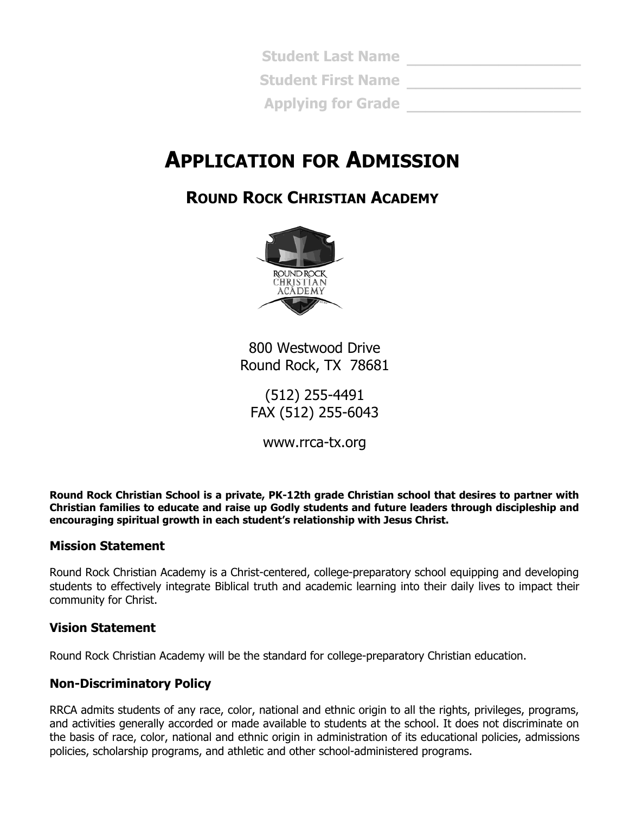**\_\_\_\_\_\_\_\_\_\_\_\_\_\_\_\_\_\_\_ Student Last Name \_\_\_\_\_\_\_\_\_\_\_\_\_\_\_\_\_\_\_ Student First Name Applying for Grade \_\_\_\_\_\_\_\_\_\_\_\_\_\_\_\_\_\_\_** 

# **APPLICATION FOR ADMISSION**

### **ROUND ROCK CHRISTIAN ACADEMY**



800 Westwood Drive Round Rock, TX 78681

(512) 255-4491 FAX (512) 255-6043

www.rrca-tx.org

**Round Rock Christian School is a private, PK-12th grade Christian school that desires to partner with Christian families to educate and raise up Godly students and future leaders through discipleship and encouraging spiritual growth in each student's relationship with Jesus Christ.** 

#### **Mission Statement**

Round Rock Christian Academy is a Christ-centered, college-preparatory school equipping and developing students to effectively integrate Biblical truth and academic learning into their daily lives to impact their community for Christ.

#### **Vision Statement**

Round Rock Christian Academy will be the standard for college-preparatory Christian education.

#### **Non-Discriminatory Policy**

RRCA admits students of any race, color, national and ethnic origin to all the rights, privileges, programs, and activities generally accorded or made available to students at the school. It does not discriminate on the basis of race, color, national and ethnic origin in administration of its educational policies, admissions policies, scholarship programs, and athletic and other school-administered programs.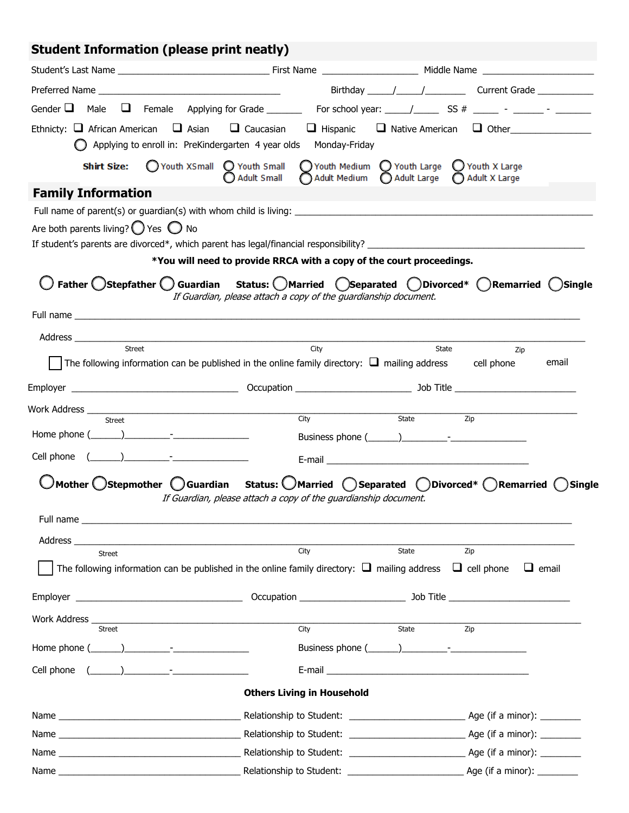## **Student Information (please print neatly)**

|                                                                                                                     |                                                                      | Gender $\Box$ Male $\Box$ Female Applying for Grade _______ For school year: _____/ ______ SS # _____ - _______ - _______                                              |
|---------------------------------------------------------------------------------------------------------------------|----------------------------------------------------------------------|------------------------------------------------------------------------------------------------------------------------------------------------------------------------|
| Ethnicty: $\Box$ African American $\Box$ Asian<br>Applying to enroll in: PreKindergarten 4 year olds                | $\Box$ Caucasian<br>$\Box$ Hispanic<br>Monday-Friday                 | $\Box$ Native American $\Box$ Other                                                                                                                                    |
| ◯ Youth XSmall ◯ Youth Small<br><b>Shirt Size:</b>                                                                  | <b>Adult Small</b><br>Adult Medium                                   | $\bigcirc$ Youth Medium $\bigcirc$ Youth Large $\bigcirc$ Youth X Large<br>Adult Large<br>Adult X Large                                                                |
| <b>Family Information</b>                                                                                           |                                                                      |                                                                                                                                                                        |
| Are both parents living? $\bigcirc$ Yes $\bigcirc$ No                                                               |                                                                      |                                                                                                                                                                        |
|                                                                                                                     |                                                                      |                                                                                                                                                                        |
|                                                                                                                     | *You will need to provide RRCA with a copy of the court proceedings. |                                                                                                                                                                        |
|                                                                                                                     | If Guardian, please attach a copy of the guardianship document.      | Father Ostepfather O Guardian Status: O Married O Separated O Divorced* O Remarried O Single                                                                           |
|                                                                                                                     |                                                                      |                                                                                                                                                                        |
|                                                                                                                     |                                                                      |                                                                                                                                                                        |
| Street<br>The following information can be published in the online family directory: $\Box$ mailing address         | City                                                                 | State<br>Zip<br>email<br>cell phone                                                                                                                                    |
|                                                                                                                     |                                                                      |                                                                                                                                                                        |
| Work Address __                                                                                                     | City                                                                 | State<br>Zip                                                                                                                                                           |
| Street<br>Home phone $(\_\_)$                                                                                       |                                                                      |                                                                                                                                                                        |
| Cell phone $(\_\_\_\_\_\_\_$                                                                                        |                                                                      |                                                                                                                                                                        |
|                                                                                                                     |                                                                      | $\bigcup$ Mother $\bigcirc$ Stepmother $\bigcirc$ Guardian Status: $\bigcirc$ Married $\bigcirc$ Separated $\bigcirc$ Divorced* $\bigcirc$ Remarried $\bigcirc$ Single |
|                                                                                                                     | If Guardian, please attach a copy of the guardianship document.      |                                                                                                                                                                        |
| Full name                                                                                                           |                                                                      |                                                                                                                                                                        |
| Address ____                                                                                                        |                                                                      |                                                                                                                                                                        |
| Street                                                                                                              | City                                                                 | State<br>Zip                                                                                                                                                           |
| The following information can be published in the online family directory: $\Box$ mailing address $\Box$ cell phone |                                                                      | $\Box$ email                                                                                                                                                           |
|                                                                                                                     |                                                                      |                                                                                                                                                                        |
| Work Address _                                                                                                      |                                                                      |                                                                                                                                                                        |
| <b>Street</b>                                                                                                       | City                                                                 | State<br>Zip                                                                                                                                                           |
|                                                                                                                     |                                                                      |                                                                                                                                                                        |
| Cell phone                                                                                                          |                                                                      |                                                                                                                                                                        |
|                                                                                                                     | <b>Others Living in Household</b>                                    |                                                                                                                                                                        |
|                                                                                                                     |                                                                      |                                                                                                                                                                        |
|                                                                                                                     |                                                                      |                                                                                                                                                                        |
|                                                                                                                     |                                                                      |                                                                                                                                                                        |
|                                                                                                                     |                                                                      | Age (if a minor): ________                                                                                                                                             |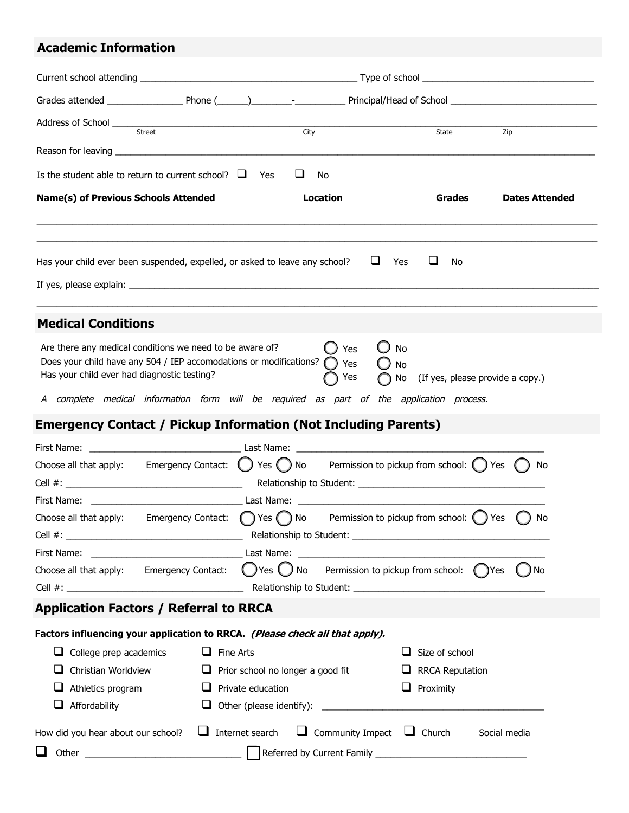### **Academic Information**

| Street                                                                                                                                                                                                                                                                      | City                                                         | Zip<br>State                                    |
|-----------------------------------------------------------------------------------------------------------------------------------------------------------------------------------------------------------------------------------------------------------------------------|--------------------------------------------------------------|-------------------------------------------------|
|                                                                                                                                                                                                                                                                             |                                                              |                                                 |
| Is the student able to return to current school? $\Box$ Yes                                                                                                                                                                                                                 | ப<br>No                                                      |                                                 |
| <b>Name(s) of Previous Schools Attended</b>                                                                                                                                                                                                                                 | <b>Location</b>                                              | Grades<br><b>Dates Attended</b>                 |
|                                                                                                                                                                                                                                                                             |                                                              |                                                 |
| Has your child ever been suspended, expelled, or asked to leave any school?                                                                                                                                                                                                 | $\Box$ Yes                                                   | ⊔<br>No                                         |
|                                                                                                                                                                                                                                                                             |                                                              |                                                 |
| <b>Medical Conditions</b>                                                                                                                                                                                                                                                   |                                                              |                                                 |
| Are there any medical conditions we need to be aware of?<br>Does your child have any 504 / IEP accomodations or modifications? (<br>Has your child ever had diagnostic testing?<br>A complete medical information form will be required as part of the application process. | Yes<br>Yes<br>Yes                                            | No<br>No<br>No (If yes, please provide a copy.) |
| <b>Emergency Contact / Pickup Information (Not Including Parents)</b>                                                                                                                                                                                                       |                                                              |                                                 |
|                                                                                                                                                                                                                                                                             |                                                              |                                                 |
| Choose all that apply: Emergency Contact: $\bigcup$ Yes $\bigcup$ No Permission to pickup from school: $\bigcup$ Yes $\bigcap$                                                                                                                                              |                                                              | No                                              |
|                                                                                                                                                                                                                                                                             |                                                              |                                                 |
| Choose all that apply: Emergency Contact: $\bigcirc$ Yes $\bigcirc$ No Permission to pickup from school: $\bigcirc$ Yes $\bigcirc$ No                                                                                                                                       |                                                              |                                                 |
|                                                                                                                                                                                                                                                                             |                                                              |                                                 |
| Choose all that apply: Emergency Contact: $\bigcirc$ Yes $\bigcirc$ No Permission to pickup from school: $\bigcirc$ Yes                                                                                                                                                     |                                                              | $()$ No                                         |
|                                                                                                                                                                                                                                                                             |                                                              |                                                 |
| <b>Application Factors / Referral to RRCA</b>                                                                                                                                                                                                                               |                                                              |                                                 |
| Factors influencing your application to RRCA. (Please check all that apply).                                                                                                                                                                                                |                                                              |                                                 |
| $\Box$ College prep academics<br>$\Box$ Fine Arts                                                                                                                                                                                                                           |                                                              | Size of school                                  |
| Christian Worldview                                                                                                                                                                                                                                                         | $\Box$ Prior school no longer a good fit                     | <b>RRCA Reputation</b><br>┙                     |
| Athletics program                                                                                                                                                                                                                                                           | $\Box$ Private education                                     | $\Box$ Proximity                                |
| Affordability                                                                                                                                                                                                                                                               |                                                              |                                                 |
| How did you hear about our school?                                                                                                                                                                                                                                          | $\Box$ Internet search $\Box$ Community Impact $\Box$ Church | Social media                                    |
|                                                                                                                                                                                                                                                                             |                                                              |                                                 |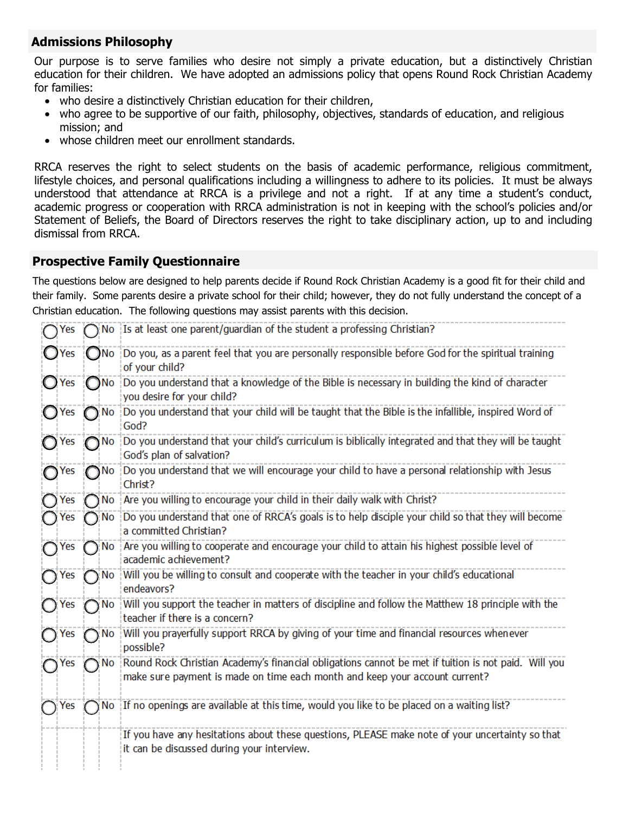#### **Admissions Philosophy**

Our purpose is to serve families who desire not simply a private education, but a distinctively Christian education for their children. We have adopted an admissions policy that opens Round Rock Christian Academy for families:

- who desire a distinctively Christian education for their children,
- who agree to be supportive of our faith, philosophy, objectives, standards of education, and religious mission; and
- whose children meet our enrollment standards.

RRCA reserves the right to select students on the basis of academic performance, religious commitment, lifestyle choices, and personal qualifications including a willingness to adhere to its policies. It must be always understood that attendance at RRCA is a privilege and not a right. If at any time a student's conduct, academic progress or cooperation with RRCA administration is not in keeping with the school's policies and/or Statement of Beliefs, the Board of Directors reserves the right to take disciplinary action, up to and including dismissal from RRCA.

#### **Prospective Family Questionnaire**

The questions below are designed to help parents decide if Round Rock Christian Academy is a good fit for their child and their family. Some parents desire a private school for their child; however, they do not fully understand the concept of a Christian education. The following questions may assist parents with this decision.

| Yes            |      | No Is at least one parent/guardian of the student a professing Christian?                                                                                                          |
|----------------|------|------------------------------------------------------------------------------------------------------------------------------------------------------------------------------------|
| $\bigcirc$ Yes |      | No Do you, as a parent feel that you are personally responsible before God for the spiritual training<br>of your child?                                                            |
| $\bigcup$ Yes  | No.  | Do you understand that a knowledge of the Bible is necessary in building the kind of character<br>you desire for your child?                                                       |
| Yes            | No   | Do you understand that your child will be taught that the Bible is the infallible, inspired Word of<br>God?                                                                        |
| Yes            | No   | Do you understand that your child's curriculum is biblically integrated and that they will be taught<br>God's plan of salvation?                                                   |
| Yes            | Nο   | Do you understand that we will encourage your child to have a personal relationship with Jesus<br>Christ?                                                                          |
| Yes            | No   | Are you willing to encourage your child in their daily walk with Christ?                                                                                                           |
| <b>Yes</b>     | No   | Do you understand that one of RRCA's goals is to help disciple your child so that they will become<br>a committed Christian?                                                       |
| $\bigcap$ Yes  | No   | Are you willing to cooperate and encourage your child to attain his highest possible level of<br>academic achievement?                                                             |
| $\bigcap$ Yes  | 'No  | Will you be willing to consult and cooperate with the teacher in your child's educational<br>endeavors?                                                                            |
| ◯ Yes          | No   | Will you support the teacher in matters of discipline and follow the Matthew 18 principle with the<br>teacher if there is a concern?                                               |
| $\bigcap$ Yes  | ר No | Will you prayerfully support RRCA by giving of your time and financial resources whenever<br>possible?                                                                             |
| Yes            | No.  | Round Rock Christian Academy's financial obligations cannot be met if tuition is not paid. Will you<br>make sure payment is made on time each month and keep your account current? |
| Yes            | No.  | If no openings are available at this time, would you like to be placed on a waiting list?                                                                                          |
|                |      | If you have any hesitations about these questions, PLEASE make note of your uncertainty so that<br>it can be discussed during your interview.                                      |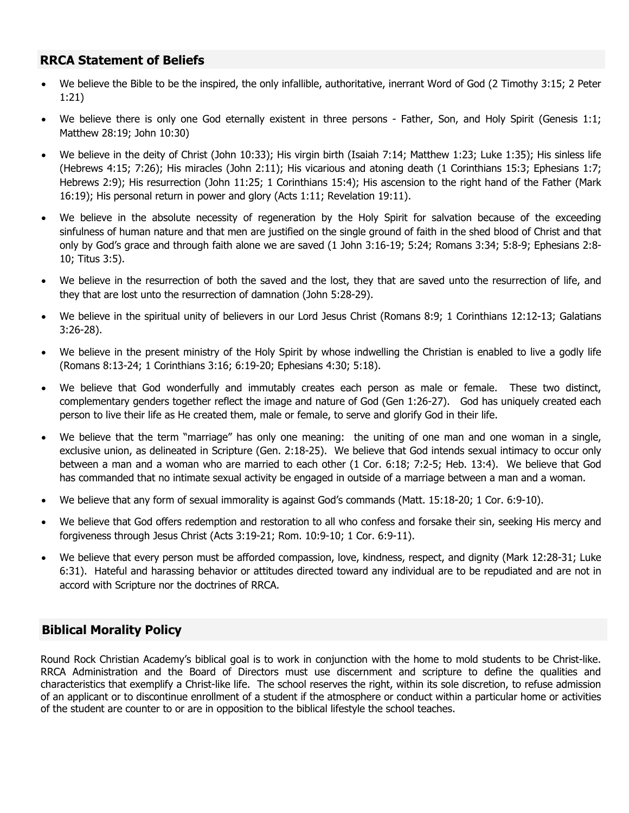#### **RRCA Statement of Beliefs**

- We believe the Bible to be the inspired, the only infallible, authoritative, inerrant Word of God (2 Timothy 3:15; 2 Peter 1:21)
- We believe there is only one God eternally existent in three persons Father, Son, and Holy Spirit (Genesis 1:1; Matthew 28:19; John 10:30)
- We believe in the deity of Christ (John 10:33); His virgin birth (Isaiah 7:14; Matthew 1:23; Luke 1:35); His sinless life (Hebrews 4:15; 7:26); His miracles (John 2:11); His vicarious and atoning death (1 Corinthians 15:3; Ephesians 1:7; Hebrews 2:9); His resurrection (John 11:25; 1 Corinthians 15:4); His ascension to the right hand of the Father (Mark 16:19); His personal return in power and glory (Acts 1:11; Revelation 19:11).
- We believe in the absolute necessity of regeneration by the Holy Spirit for salvation because of the exceeding sinfulness of human nature and that men are justified on the single ground of faith in the shed blood of Christ and that only by God's grace and through faith alone we are saved (1 John 3:16-19; 5:24; Romans 3:34; 5:8-9; Ephesians 2:8- 10; Titus 3:5).
- We believe in the resurrection of both the saved and the lost, they that are saved unto the resurrection of life, and they that are lost unto the resurrection of damnation (John 5:28-29).
- We believe in the spiritual unity of believers in our Lord Jesus Christ (Romans 8:9; 1 Corinthians 12:12-13; Galatians 3:26-28).
- We believe in the present ministry of the Holy Spirit by whose indwelling the Christian is enabled to live a godly life (Romans 8:13-24; 1 Corinthians 3:16; 6:19-20; Ephesians 4:30; 5:18).
- We believe that God wonderfully and immutably creates each person as male or female. These two distinct, complementary genders together reflect the image and nature of God (Gen 1:26-27). God has uniquely created each person to live their life as He created them, male or female, to serve and glorify God in their life.
- We believe that the term "marriage" has only one meaning: the uniting of one man and one woman in a single, exclusive union, as delineated in Scripture (Gen. 2:18-25). We believe that God intends sexual intimacy to occur only between a man and a woman who are married to each other (1 Cor. 6:18; 7:2-5; Heb. 13:4). We believe that God has commanded that no intimate sexual activity be engaged in outside of a marriage between a man and a woman.
- We believe that any form of sexual immorality is against God's commands (Matt. 15:18-20; 1 Cor. 6:9-10).
- We believe that God offers redemption and restoration to all who confess and forsake their sin, seeking His mercy and forgiveness through Jesus Christ (Acts 3:19-21; Rom. 10:9-10; 1 Cor. 6:9-11).
- We believe that every person must be afforded compassion, love, kindness, respect, and dignity (Mark 12:28-31; Luke 6:31). Hateful and harassing behavior or attitudes directed toward any individual are to be repudiated and are not in accord with Scripture nor the doctrines of RRCA.

#### **Biblical Morality Policy**

Round Rock Christian Academy's biblical goal is to work in conjunction with the home to mold students to be Christ-like. RRCA Administration and the Board of Directors must use discernment and scripture to define the qualities and characteristics that exemplify a Christ-like life. The school reserves the right, within its sole discretion, to refuse admission of an applicant or to discontinue enrollment of a student if the atmosphere or conduct within a particular home or activities of the student are counter to or are in opposition to the biblical lifestyle the school teaches.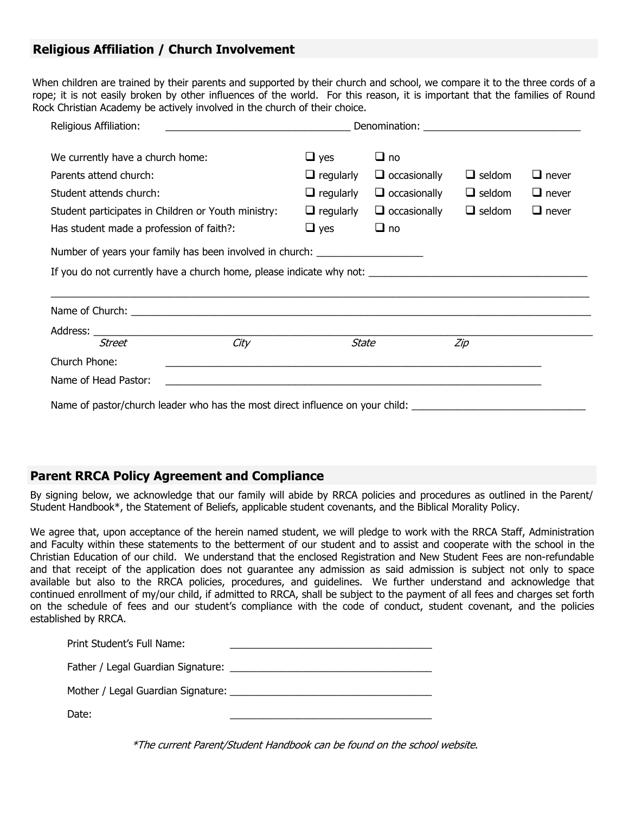#### **Religious Affiliation / Church Involvement**

When children are trained by their parents and supported by their church and school, we compare it to the three cords of a rope; it is not easily broken by other influences of the world. For this reason, it is important that the families of Round Rock Christian Academy be actively involved in the church of their choice.

| Religious Affiliation:                                                        | <u> 1989 - Johann Stoff, deutscher Stoffen und der Stoffen und der Stoffen und der Stoffen und der Stoffen und der</u> |                     |                                                             |               |              |
|-------------------------------------------------------------------------------|------------------------------------------------------------------------------------------------------------------------|---------------------|-------------------------------------------------------------|---------------|--------------|
| We currently have a church home:                                              |                                                                                                                        | $\Box$ yes          | $\Box$ no                                                   |               |              |
| Parents attend church:                                                        |                                                                                                                        | $\Box$ regularly    | $\Box$ occasionally                                         | $\Box$ seldom | $\Box$ never |
| Student attends church:                                                       |                                                                                                                        | $\Box$ regularly    | $\Box$ occasionally                                         | $\Box$ seldom | $\Box$ never |
| Student participates in Children or Youth ministry:                           | $\Box$ regularly                                                                                                       | $\Box$ occasionally | $\Box$ seldom                                               | $\Box$ never  |              |
| Has student made a profession of faith?:                                      |                                                                                                                        | $\Box$ yes          | $\Box$ no                                                   |               |              |
|                                                                               | Number of years your family has been involved in church: _______________________                                       |                     |                                                             |               |              |
|                                                                               |                                                                                                                        |                     |                                                             |               |              |
|                                                                               |                                                                                                                        |                     |                                                             |               |              |
|                                                                               |                                                                                                                        |                     |                                                             |               |              |
| <b>Street</b>                                                                 | City                                                                                                                   | <b>State</b>        |                                                             | Zip           |              |
| Church Phone:                                                                 |                                                                                                                        |                     | <u> 1989 - Johann Stoff, amerikansk politiker (d. 1989)</u> |               |              |
| Name of Head Pastor:                                                          |                                                                                                                        |                     |                                                             |               |              |
| Name of pastor/church leader who has the most direct influence on your child: |                                                                                                                        |                     |                                                             |               |              |

#### **Parent RRCA Policy Agreement and Compliance**

By signing below, we acknowledge that our family will abide by RRCA policies and procedures as outlined in the Parent/ Student Handbook\*, the Statement of Beliefs, applicable student covenants, and the Biblical Morality Policy.

We agree that, upon acceptance of the herein named student, we will pledge to work with the RRCA Staff, Administration and Faculty within these statements to the betterment of our student and to assist and cooperate with the school in the Christian Education of our child. We understand that the enclosed Registration and New Student Fees are non-refundable and that receipt of the application does not guarantee any admission as said admission is subject not only to space available but also to the RRCA policies, procedures, and guidelines. We further understand and acknowledge that continued enrollment of my/our child, if admitted to RRCA, shall be subject to the payment of all fees and charges set forth on the schedule of fees and our student's compliance with the code of conduct, student covenant, and the policies established by RRCA.

| Print Student's Full Name:         |  |
|------------------------------------|--|
|                                    |  |
| Mother / Legal Guardian Signature: |  |
| Date:                              |  |

\*The current Parent/Student Handbook can be found on the school website.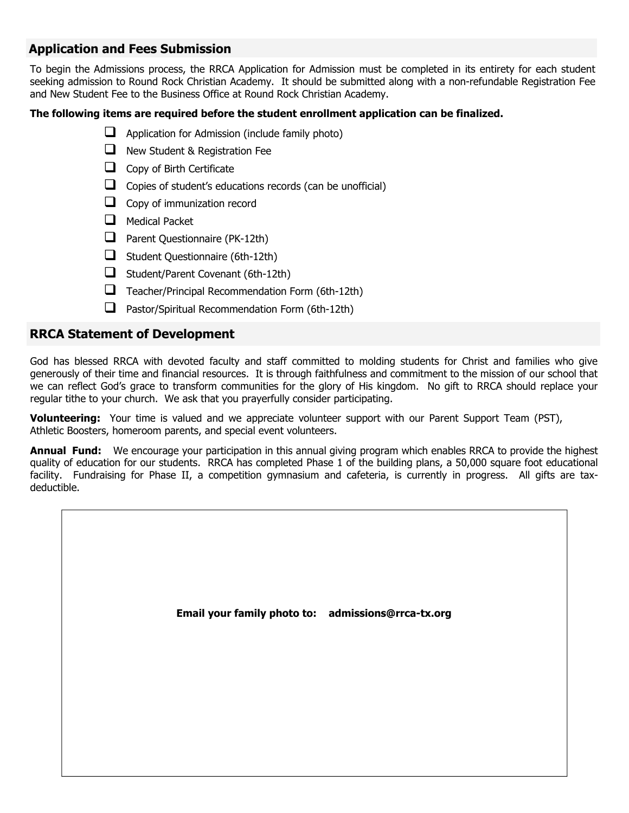#### **Application and Fees Submission**

To begin the Admissions process, the RRCA Application for Admission must be completed in its entirety for each student seeking admission to Round Rock Christian Academy. It should be submitted along with a non-refundable Registration Fee and New Student Fee to the Business Office at Round Rock Christian Academy.

#### **The following items are required before the student enrollment application can be finalized.**

- $\Box$  Application for Admission (include family photo)
- New Student & Registration Fee
- Copy of Birth Certificate
- $\Box$  Copies of student's educations records (can be unofficial)
- Copy of immunization record
- $\Box$  Medical Packet
- **Parent Questionnaire (PK-12th)**
- $\Box$  Student Questionnaire (6th-12th)
- $\Box$  Student/Parent Covenant (6th-12th)
- $\Box$  Teacher/Principal Recommendation Form (6th-12th)
- $\Box$  Pastor/Spiritual Recommendation Form (6th-12th)

#### **RRCA Statement of Development**

God has blessed RRCA with devoted faculty and staff committed to molding students for Christ and families who give generously of their time and financial resources. It is through faithfulness and commitment to the mission of our school that we can reflect God's grace to transform communities for the glory of His kingdom. No gift to RRCA should replace your regular tithe to your church. We ask that you prayerfully consider participating.

**Volunteering:** Your time is valued and we appreciate volunteer support with our Parent Support Team (PST), Athletic Boosters, homeroom parents, and special event volunteers.

**Annual Fund:** We encourage your participation in this annual giving program which enables RRCA to provide the highest quality of education for our students. RRCA has completed Phase 1 of the building plans, a 50,000 square foot educational facility. Fundraising for Phase II, a competition gymnasium and cafeteria, is currently in progress. All gifts are taxdeductible.

**Email your family photo to: admissions@rrca-tx.org**